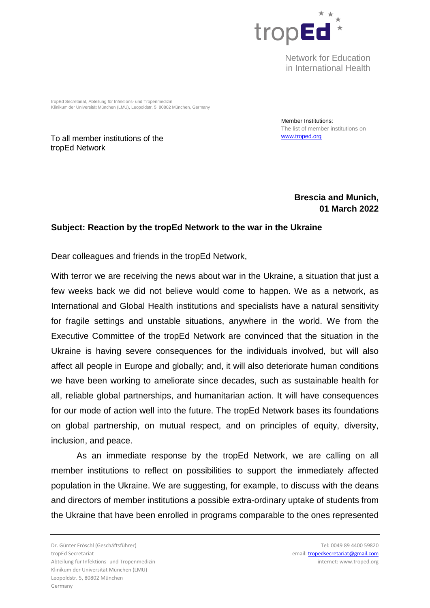

Network for Education in International Health

tropEd Secretariat, Abteilung für Infektions- und Tropenmedizin Klinikum der Universität München (LMU), Leopoldstr. 5, 80802 München, Germany

To all member institutions of the tropEd Network

Member Institutions: The list of member institutions on www.troped.org

## **Brescia and Munich, 01 March 2022**

## **Subject: Reaction by the tropEd Network to the war in the Ukraine**

Dear colleagues and friends in the tropEd Network,

With terror we are receiving the news about war in the Ukraine, a situation that just a few weeks back we did not believe would come to happen. We as a network, as International and Global Health institutions and specialists have a natural sensitivity for fragile settings and unstable situations, anywhere in the world. We from the Executive Committee of the tropEd Network are convinced that the situation in the Ukraine is having severe consequences for the individuals involved, but will also affect all people in Europe and globally; and, it will also deteriorate human conditions we have been working to ameliorate since decades, such as sustainable health for all, reliable global partnerships, and humanitarian action. It will have consequences for our mode of action well into the future. The tropEd Network bases its foundations on global partnership, on mutual respect, and on principles of equity, diversity, inclusion, and peace.

As an immediate response by the tropEd Network, we are calling on all member institutions to reflect on possibilities to support the immediately affected population in the Ukraine. We are suggesting, for example, to discuss with the deans and directors of member institutions a possible extra-ordinary uptake of students from the Ukraine that have been enrolled in programs comparable to the ones represented